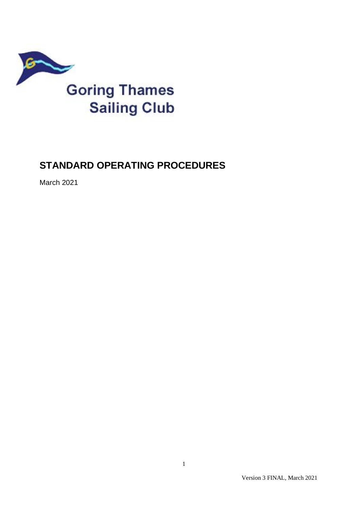

# **STANDARD OPERATING PROCEDURES**

March 2021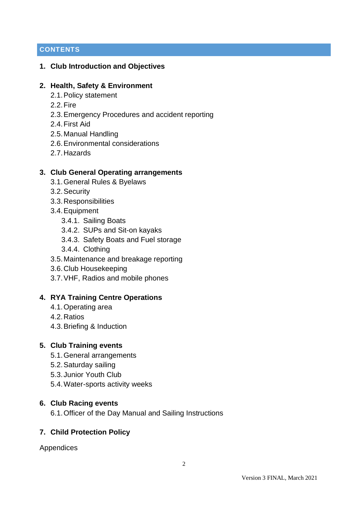# **CONTENTS**

### **1. Club Introduction and Objectives**

### **2. Health, Safety & Environment**

- 2.1.Policy statement
- 2.2.Fire
- 2.3.Emergency Procedures and accident reporting
- 2.4.First Aid
- 2.5.Manual Handling
- 2.6.Environmental considerations
- 2.7.Hazards

### **3. Club General Operating arrangements**

- 3.1.General Rules & Byelaws
- 3.2.Security
- 3.3.Responsibilities
- 3.4.Equipment
	- 3.4.1. Sailing Boats
	- 3.4.2. SUPs and Sit-on kayaks
	- 3.4.3. Safety Boats and Fuel storage
	- 3.4.4. Clothing
- 3.5.Maintenance and breakage reporting
- 3.6.Club Housekeeping
- 3.7.VHF, Radios and mobile phones

### **4. RYA Training Centre Operations**

- 4.1.Operating area
- 4.2.Ratios
- 4.3.Briefing & Induction

#### **5. Club Training events**

- 5.1.General arrangements
- 5.2.Saturday sailing
- 5.3. Junior Youth Club
- 5.4.Water-sports activity weeks

#### **6. Club Racing events**

6.1.Officer of the Day Manual and Sailing Instructions

### **7. Child Protection Policy**

Appendices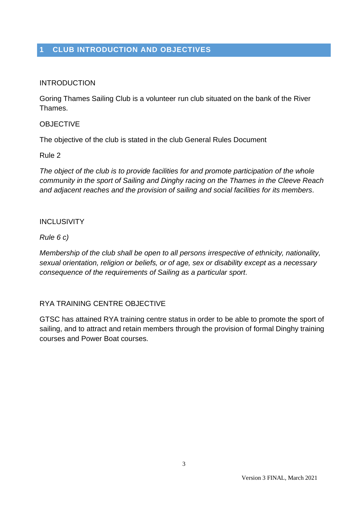# **1 CLUB INTRODUCTION AND OBJECTIVES**

### INTRODUCTION

Goring Thames Sailing Club is a volunteer run club situated on the bank of the River Thames.

#### **OBJECTIVE**

The objective of the club is stated in the club General Rules Document

#### Rule 2

*The object of the club is to provide facilities for and promote participation of the whole community in the sport of Sailing and Dinghy racing on the Thames in the Cleeve Reach and adjacent reaches and the provision of sailing and social facilities for its members.*

#### INCLUSIVITY

*Rule 6 c)*

*Membership of the club shall be open to all persons irrespective of ethnicity, nationality, sexual orientation, religion or beliefs, or of age, sex or disability except as a necessary consequence of the requirements of Sailing as a particular sport.*

#### RYA TRAINING CENTRE OBJECTIVE

GTSC has attained RYA training centre status in order to be able to promote the sport of sailing, and to attract and retain members through the provision of formal Dinghy training courses and Power Boat courses.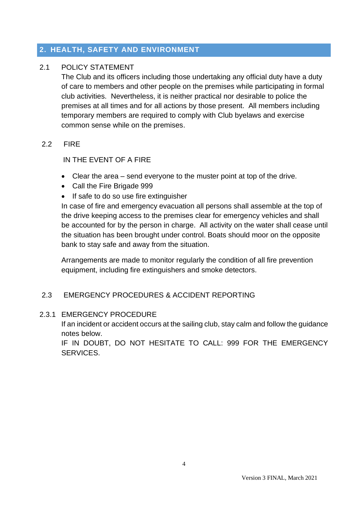# **2. HEALTH, SAFETY AND ENVIRONMENT**

### 2.1 POLICY STATEMENT

The Club and its officers including those undertaking any official duty have a duty of care to members and other people on the premises while participating in formal club activities. Nevertheless, it is neither practical nor desirable to police the premises at all times and for all actions by those present. All members including temporary members are required to comply with Club byelaws and exercise common sense while on the premises.

#### 2.2 FIRE

IN THE EVENT OF A FIRE

- Clear the area send everyone to the muster point at top of the drive.
- Call the Fire Brigade 999
- If safe to do so use fire extinguisher

In case of fire and emergency evacuation all persons shall assemble at the top of the drive keeping access to the premises clear for emergency vehicles and shall be accounted for by the person in charge. All activity on the water shall cease until the situation has been brought under control. Boats should moor on the opposite bank to stay safe and away from the situation.

Arrangements are made to monitor regularly the condition of all fire prevention equipment, including fire extinguishers and smoke detectors.

### 2.3 EMERGENCY PROCEDURES & ACCIDENT REPORTING

#### 2.3.1 EMERGENCY PROCEDURE

If an incident or accident occurs at the sailing club, stay calm and follow the guidance notes below.

IF IN DOUBT, DO NOT HESITATE TO CALL: 999 FOR THE EMERGENCY SERVICES.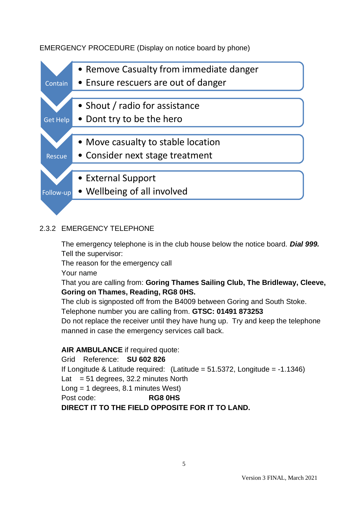# EMERGENCY PROCEDURE (Display on notice board by phone)



# 2.3.2 EMERGENCY TELEPHONE

The emergency telephone is in the club house below the notice board. *Dial 999.* Tell the supervisor:

The reason for the emergency call

Your name

That you are calling from: **Goring Thames Sailing Club, The Bridleway, Cleeve, Goring on Thames, Reading, RG8 0HS.** 

The club is signposted off from the B4009 between Goring and South Stoke. Telephone number you are calling from. **GTSC: 01491 873253**

Do not replace the receiver until they have hung up. Try and keep the telephone manned in case the emergency services call back.

### **AIR AMBULANCE** if required quote:

Grid Reference: **SU 602 826** If Longitude & Latitude required: (Latitude =  $51.5372$ , Longitude =  $-1.1346$ ) Lat  $= 51$  degrees, 32.2 minutes North Long = 1 degrees, 8.1 minutes West) Post code: **RG8 0HS**

### **DIRECT IT TO THE FIELD OPPOSITE FOR IT TO LAND.**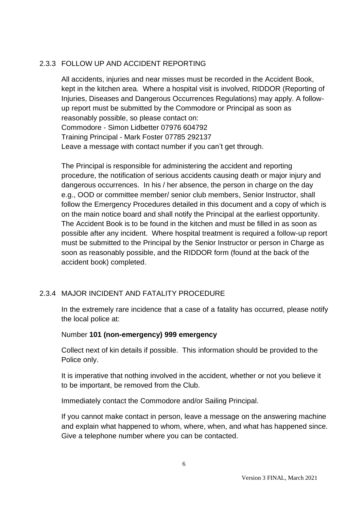### 2.3.3 FOLLOW UP AND ACCIDENT REPORTING

All accidents, injuries and near misses must be recorded in the Accident Book, kept in the kitchen area. Where a hospital visit is involved, RIDDOR (Reporting of Injuries, Diseases and Dangerous Occurrences Regulations) may apply. A followup report must be submitted by the Commodore or Principal as soon as reasonably possible, so please contact on: Commodore - Simon Lidbetter 07976 604792 Training Principal - Mark Foster 07785 292137 Leave a message with contact number if you can't get through.

The Principal is responsible for administering the accident and reporting procedure, the notification of serious accidents causing death or major injury and dangerous occurrences. In his / her absence, the person in charge on the day e.g., OOD or committee member/ senior club members, Senior Instructor, shall follow the Emergency Procedures detailed in this document and a copy of which is on the main notice board and shall notify the Principal at the earliest opportunity. The Accident Book is to be found in the kitchen and must be filled in as soon as possible after any incident. Where hospital treatment is required a follow-up report must be submitted to the Principal by the Senior Instructor or person in Charge as soon as reasonably possible, and the RIDDOR form (found at the back of the accident book) completed.

# 2.3.4 MAJOR INCIDENT AND FATALITY PROCEDURE

In the extremely rare incidence that a case of a fatality has occurred, please notify the local police at:

#### Number **101 (non-emergency) 999 emergency**

Collect next of kin details if possible. This information should be provided to the Police only.

It is imperative that nothing involved in the accident, whether or not you believe it to be important, be removed from the Club.

Immediately contact the Commodore and/or Sailing Principal.

If you cannot make contact in person, leave a message on the answering machine and explain what happened to whom, where, when, and what has happened since. Give a telephone number where you can be contacted.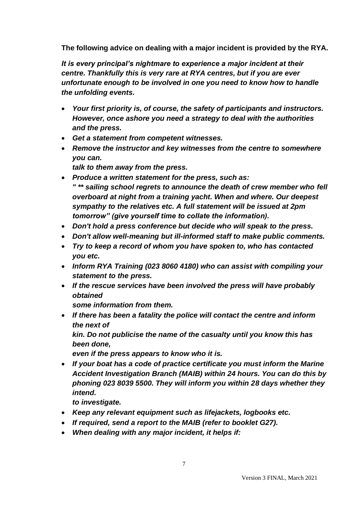**The following advice on dealing with a major incident is provided by the RYA.** 

*It is every principal's nightmare to experience a major incident at their centre. Thankfully this is very rare at RYA centres, but if you are ever unfortunate enough to be involved in one you need to know how to handle the unfolding events.*

- *Your first priority is, of course, the safety of participants and instructors. However, once ashore you need a strategy to deal with the authorities and the press.*
- *Get a statement from competent witnesses.*
- *Remove the instructor and key witnesses from the centre to somewhere you can.*

*talk to them away from the press.*

- *Produce a written statement for the press, such as: " \*\* sailing school regrets to announce the death of crew member who fell overboard at night from a training yacht. When and where. Our deepest sympathy to the relatives etc. A full statement will be issued at 2pm tomorrow" (give yourself time to collate the information).*
- *Don't hold a press conference but decide who will speak to the press.*
- *Don't allow well-meaning but ill-informed staff to make public comments.*
- *Try to keep a record of whom you have spoken to, who has contacted you etc.*
- *Inform RYA Training (023 8060 4180) who can assist with compiling your statement to the press.*
- *If the rescue services have been involved the press will have probably obtained*

*some information from them.*

• *If there has been a fatality the police will contact the centre and inform the next of*

*kin. Do not publicise the name of the casualty until you know this has been done,*

*even if the press appears to know who it is.*

• *If your boat has a code of practice certificate you must inform the Marine Accident Investigation Branch (MAIB) within 24 hours. You can do this by phoning 023 8039 5500. They will inform you within 28 days whether they intend.*

*to investigate.*

- *Keep any relevant equipment such as lifejackets, logbooks etc.*
- *If required, send a report to the MAIB (refer to booklet G27).*
- *When dealing with any major incident, it helps if:*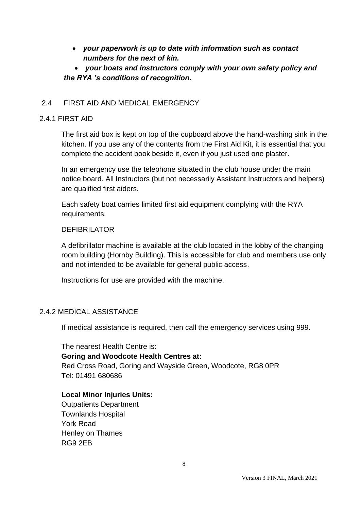• *your paperwork is up to date with information such as contact numbers for the next of kin.*

# • *your boats and instructors comply with your own safety policy and the RYA 's conditions of recognition.*

### 2.4 FIRST AID AND MEDICAL EMERGENCY

#### 2.4.1 FIRST AID

The first aid box is kept on top of the cupboard above the hand-washing sink in the kitchen. If you use any of the contents from the First Aid Kit, it is essential that you complete the accident book beside it, even if you just used one plaster.

In an emergency use the telephone situated in the club house under the main notice board. All Instructors (but not necessarily Assistant Instructors and helpers) are qualified first aiders.

Each safety boat carries limited first aid equipment complying with the RYA requirements.

#### DEFIBRILATOR

A defibrillator machine is available at the club located in the lobby of the changing room building (Hornby Building). This is accessible for club and members use only, and not intended to be available for general public access.

Instructions for use are provided with the machine.

#### 2.4.2 MEDICAL ASSISTANCE

If medical assistance is required, then call the emergency services using 999.

The nearest Health Centre is: **Goring and Woodcote Health Centres at:** Red Cross Road, Goring and Wayside Green, Woodcote, RG8 0PR Tel: 01491 680686

#### **Local Minor Injuries Units:**

Outpatients Department Townlands Hospital York Road Henley on Thames RG9 2EB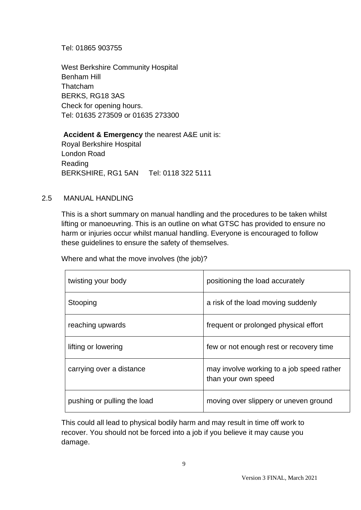Tel: 01865 903755

West Berkshire Community Hospital Benham Hill Thatcham BERKS, RG18 3AS Check for opening hours. Tel: 01635 273509 or 01635 273300

**Accident & Emergency** the nearest A&E unit is: Royal Berkshire Hospital London Road Reading BERKSHIRE, RG1 5AN Tel: 0118 322 5111

#### 2.5 MANUAL HANDLING

This is a short summary on manual handling and the procedures to be taken whilst lifting or manoeuvring. This is an outline on what GTSC has provided to ensure no harm or injuries occur whilst manual handling. Everyone is encouraged to follow these guidelines to ensure the safety of themselves.

Where and what the move involves (the job)?

| twisting your body          | positioning the load accurately                                  |
|-----------------------------|------------------------------------------------------------------|
| Stooping                    | a risk of the load moving suddenly                               |
| reaching upwards            | frequent or prolonged physical effort                            |
| lifting or lowering         | few or not enough rest or recovery time                          |
| carrying over a distance    | may involve working to a job speed rather<br>than your own speed |
| pushing or pulling the load | moving over slippery or uneven ground                            |

This could all lead to physical bodily harm and may result in time off work to recover. You should not be forced into a job if you believe it may cause you damage.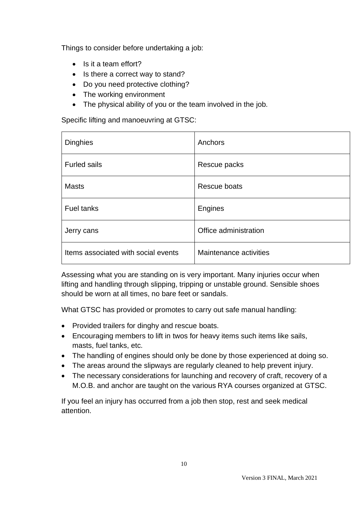Things to consider before undertaking a job:

- Is it a team effort?
- Is there a correct way to stand?
- Do you need protective clothing?
- The working environment
- The physical ability of you or the team involved in the job.

Specific lifting and manoeuvring at GTSC:

| <b>Dinghies</b>                     | Anchors                |
|-------------------------------------|------------------------|
| <b>Furled sails</b>                 | Rescue packs           |
| <b>Masts</b>                        | Rescue boats           |
| <b>Fuel tanks</b>                   | Engines                |
| Jerry cans                          | Office administration  |
| Items associated with social events | Maintenance activities |

Assessing what you are standing on is very important. Many injuries occur when lifting and handling through slipping, tripping or unstable ground. Sensible shoes should be worn at all times, no bare feet or sandals.

What GTSC has provided or promotes to carry out safe manual handling:

- Provided trailers for dinghy and rescue boats.
- Encouraging members to lift in twos for heavy items such items like sails, masts, fuel tanks, etc.
- The handling of engines should only be done by those experienced at doing so.
- The areas around the slipways are regularly cleaned to help prevent injury.
- The necessary considerations for launching and recovery of craft, recovery of a M.O.B. and anchor are taught on the various RYA courses organized at GTSC.

If you feel an injury has occurred from a job then stop, rest and seek medical attention.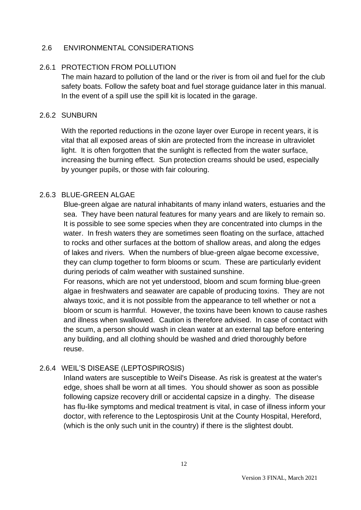### 2.6 ENVIRONMENTAL CONSIDERATIONS

### 2.6.1 PROTECTION FROM POLLUTION

The main hazard to pollution of the land or the river is from oil and fuel for the club safety boats. Follow the safety boat and fuel storage guidance later in this manual. In the event of a spill use the spill kit is located in the garage.

#### 2.6.2 SUNBURN

With the reported reductions in the ozone layer over Europe in recent years, it is vital that all exposed areas of skin are protected from the increase in ultraviolet light. It is often forgotten that the sunlight is reflected from the water surface, increasing the burning effect. Sun protection creams should be used, especially by younger pupils, or those with fair colouring.

### 2.6.3 BLUE-GREEN ALGAE

Blue-green algae are natural inhabitants of many inland waters, estuaries and the sea. They have been natural features for many years and are likely to remain so. It is possible to see some species when they are concentrated into clumps in the water. In fresh waters they are sometimes seen floating on the surface, attached to rocks and other surfaces at the bottom of shallow areas, and along the edges of lakes and rivers. When the numbers of blue-green algae become excessive, they can clump together to form blooms or scum. These are particularly evident during periods of calm weather with sustained sunshine.

For reasons, which are not yet understood, bloom and scum forming blue-green algae in freshwaters and seawater are capable of producing toxins. They are not always toxic, and it is not possible from the appearance to tell whether or not a bloom or scum is harmful. However, the toxins have been known to cause rashes and illness when swallowed. Caution is therefore advised. In case of contact with the scum, a person should wash in clean water at an external tap before entering any building, and all clothing should be washed and dried thoroughly before reuse.

### 2.6.4 WEIL'S DISEASE (LEPTOSPIROSIS)

Inland waters are susceptible to Weil's Disease. As risk is greatest at the water's edge, shoes shall be worn at all times. You should shower as soon as possible following capsize recovery drill or accidental capsize in a dinghy. The disease has flu-like symptoms and medical treatment is vital, in case of illness inform your doctor, with reference to the Leptospirosis Unit at the County Hospital, Hereford, (which is the only such unit in the country) if there is the slightest doubt.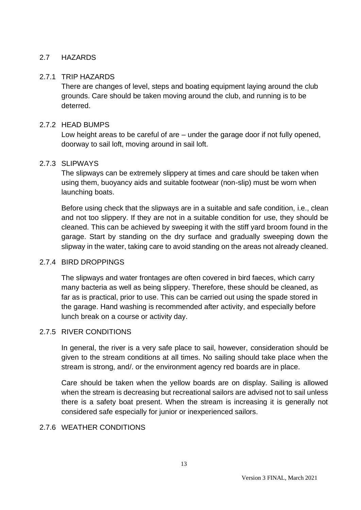### 2.7 HAZARDS

### 2.7.1 TRIP HAZARDS

There are changes of level, steps and boating equipment laying around the club grounds. Care should be taken moving around the club, and running is to be deterred.

### 2.7.2 HEAD BUMPS

Low height areas to be careful of are – under the garage door if not fully opened, doorway to sail loft, moving around in sail loft.

#### 2.7.3 SLIPWAYS

The slipways can be extremely slippery at times and care should be taken when using them, buoyancy aids and suitable footwear (non-slip) must be worn when launching boats.

Before using check that the slipways are in a suitable and safe condition, i.e., clean and not too slippery. If they are not in a suitable condition for use, they should be cleaned. This can be achieved by sweeping it with the stiff yard broom found in the garage. Start by standing on the dry surface and gradually sweeping down the slipway in the water, taking care to avoid standing on the areas not already cleaned.

#### 2.7.4 BIRD DROPPINGS

The slipways and water frontages are often covered in bird faeces, which carry many bacteria as well as being slippery. Therefore, these should be cleaned, as far as is practical, prior to use. This can be carried out using the spade stored in the garage. Hand washing is recommended after activity, and especially before lunch break on a course or activity day.

#### 2.7.5 RIVER CONDITIONS

In general, the river is a very safe place to sail, however, consideration should be given to the stream conditions at all times. No sailing should take place when the stream is strong, and/. or the environment agency red boards are in place.

Care should be taken when the yellow boards are on display. Sailing is allowed when the stream is decreasing but recreational sailors are advised not to sail unless there is a safety boat present. When the stream is increasing it is generally not considered safe especially for junior or inexperienced sailors.

### 2.7.6 WEATHER CONDITIONS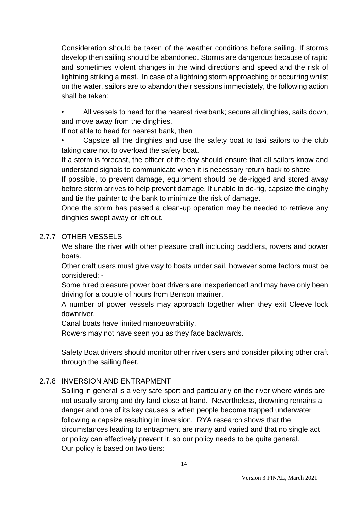Consideration should be taken of the weather conditions before sailing. If storms develop then sailing should be abandoned. Storms are dangerous because of rapid and sometimes violent changes in the wind directions and speed and the risk of lightning striking a mast. In case of a lightning storm approaching or occurring whilst on the water, sailors are to abandon their sessions immediately, the following action shall be taken:

• All vessels to head for the nearest riverbank; secure all dinghies, sails down, and move away from the dinghies.

If not able to head for nearest bank, then

• Capsize all the dinghies and use the safety boat to taxi sailors to the club taking care not to overload the safety boat.

If a storm is forecast, the officer of the day should ensure that all sailors know and understand signals to communicate when it is necessary return back to shore.

If possible, to prevent damage, equipment should be de-rigged and stored away before storm arrives to help prevent damage. If unable to de-rig, capsize the dinghy and tie the painter to the bank to minimize the risk of damage.

Once the storm has passed a clean-up operation may be needed to retrieve any dinghies swept away or left out.

### 2.7.7 OTHER VESSELS

We share the river with other pleasure craft including paddlers, rowers and power boats.

Other craft users must give way to boats under sail, however some factors must be considered: -

Some hired pleasure power boat drivers are inexperienced and may have only been driving for a couple of hours from Benson mariner.

A number of power vessels may approach together when they exit Cleeve lock downriver.

Canal boats have limited manoeuvrability.

Rowers may not have seen you as they face backwards.

Safety Boat drivers should monitor other river users and consider piloting other craft through the sailing fleet.

### 2.7.8 INVERSION AND ENTRAPMENT

Sailing in general is a very safe sport and particularly on the river where winds are not usually strong and dry land close at hand. Nevertheless, drowning remains a danger and one of its key causes is when people become trapped underwater following a capsize resulting in inversion. RYA research shows that the circumstances leading to entrapment are many and varied and that no single act or policy can effectively prevent it, so our policy needs to be quite general. Our policy is based on two tiers: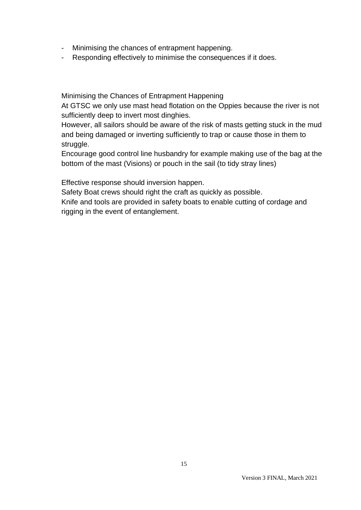- Minimising the chances of entrapment happening.
- Responding effectively to minimise the consequences if it does.

Minimising the Chances of Entrapment Happening

At GTSC we only use mast head flotation on the Oppies because the river is not sufficiently deep to invert most dinghies.

However, all sailors should be aware of the risk of masts getting stuck in the mud and being damaged or inverting sufficiently to trap or cause those in them to struggle.

Encourage good control line husbandry for example making use of the bag at the bottom of the mast (Visions) or pouch in the sail (to tidy stray lines)

Effective response should inversion happen.

Safety Boat crews should right the craft as quickly as possible.

Knife and tools are provided in safety boats to enable cutting of cordage and rigging in the event of entanglement.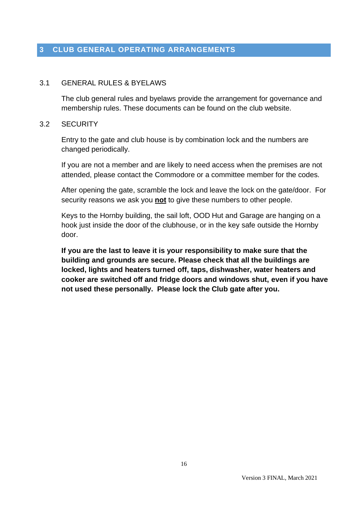# **3 CLUB GENERAL OPERATING ARRANGEMENTS**

#### 3.1 GENERAL RULES & BYELAWS

The club general rules and byelaws provide the arrangement for governance and membership rules. These documents can be found on the club website.

#### 3.2 SECURITY

Entry to the gate and club house is by combination lock and the numbers are changed periodically.

If you are not a member and are likely to need access when the premises are not attended, please contact the Commodore or a committee member for the codes.

After opening the gate, scramble the lock and leave the lock on the gate/door. For security reasons we ask you **not** to give these numbers to other people.

Keys to the Hornby building, the sail loft, OOD Hut and Garage are hanging on a hook just inside the door of the clubhouse, or in the key safe outside the Hornby door.

**If you are the last to leave it is your responsibility to make sure that the building and grounds are secure. Please check that all the buildings are locked, lights and heaters turned off, taps, dishwasher, water heaters and cooker are switched off and fridge doors and windows shut, even if you have not used these personally. Please lock the Club gate after you.**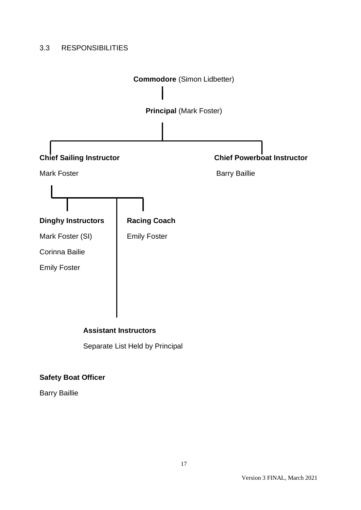# 3.3 RESPONSIBILITIES



Separate List Held by Principal

# **Safety Boat Officer**

Barry Baillie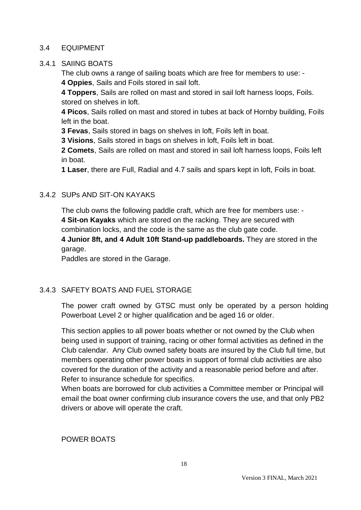#### 3.4 EQUIPMENT

### 3.4.1 SAIING BOATS

The club owns a range of sailing boats which are free for members to use: - **4 Oppies**, Sails and Foils stored in sail loft.

**4 Toppers**, Sails are rolled on mast and stored in sail loft harness loops, Foils. stored on shelves in loft.

**4 Picos**, Sails rolled on mast and stored in tubes at back of Hornby building, Foils left in the boat.

**3 Fevas**, Sails stored in bags on shelves in loft, Foils left in boat.

**3 Visions**, Sails stored in bags on shelves in loft, Foils left in boat.

**2 Comets**, Sails are rolled on mast and stored in sail loft harness loops, Foils left in boat.

**1 Laser**, there are Full, Radial and 4.7 sails and spars kept in loft, Foils in boat.

### 3.4.2 SUPs AND SIT-ON KAYAKS

The club owns the following paddle craft, which are free for members use: - **4 Sit-on Kayaks** which are stored on the racking. They are secured with combination locks, and the code is the same as the club gate code.

**4 Junior 8ft, and 4 Adult 10ft Stand-up paddleboards.** They are stored in the garage.

Paddles are stored in the Garage.

### 3.4.3 SAFETY BOATS AND FUEL STORAGE

The power craft owned by GTSC must only be operated by a person holding Powerboat Level 2 or higher qualification and be aged 16 or older.

This section applies to all power boats whether or not owned by the Club when being used in support of training, racing or other formal activities as defined in the Club calendar. Any Club owned safety boats are insured by the Club full time, but members operating other power boats in support of formal club activities are also covered for the duration of the activity and a reasonable period before and after. Refer to insurance schedule for specifics.

When boats are borrowed for club activities a Committee member or Principal will email the boat owner confirming club insurance covers the use, and that only PB2 drivers or above will operate the craft.

POWER BOATS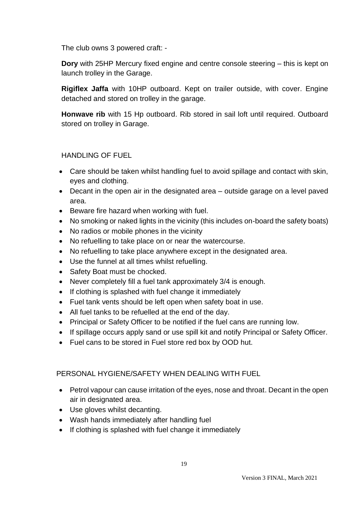The club owns 3 powered craft: -

**Dory** with 25HP Mercury fixed engine and centre console steering – this is kept on launch trolley in the Garage.

**Rigiflex Jaffa** with 10HP outboard. Kept on trailer outside, with cover. Engine detached and stored on trolley in the garage.

**Honwave rib** with 15 Hp outboard. Rib stored in sail loft until required. Outboard stored on trolley in Garage.

# HANDLING OF FUEL

- Care should be taken whilst handling fuel to avoid spillage and contact with skin, eyes and clothing.
- Decant in the open air in the designated area outside garage on a level paved area.
- Beware fire hazard when working with fuel.
- No smoking or naked lights in the vicinity (this includes on-board the safety boats)
- No radios or mobile phones in the vicinity
- No refuelling to take place on or near the watercourse.
- No refuelling to take place anywhere except in the designated area.
- Use the funnel at all times whilst refuelling.
- Safety Boat must be chocked.
- Never completely fill a fuel tank approximately 3/4 is enough.
- If clothing is splashed with fuel change it immediately
- Fuel tank vents should be left open when safety boat in use.
- All fuel tanks to be refuelled at the end of the day.
- Principal or Safety Officer to be notified if the fuel cans are running low.
- If spillage occurs apply sand or use spill kit and notify Principal or Safety Officer.
- Fuel cans to be stored in Fuel store red box by OOD hut.

### PERSONAL HYGIENE/SAFETY WHEN DEALING WITH FUEL

- Petrol vapour can cause irritation of the eyes, nose and throat. Decant in the open air in designated area.
- Use gloves whilst decanting.
- Wash hands immediately after handling fuel
- If clothing is splashed with fuel change it immediately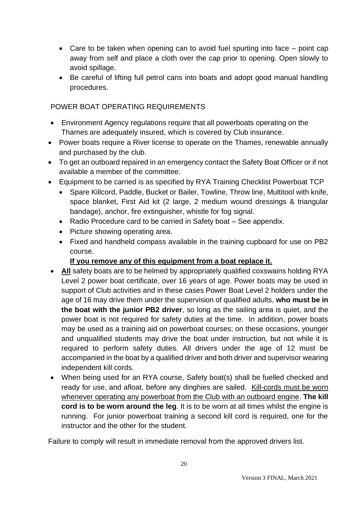- Care to be taken when opening can to avoid fuel spurting into face point cap away from self and place a cloth over the cap prior to opening. Open slowly to avoid spillage.
- Be careful of lifting full petrol cans into boats and adopt good manual handling procedures.

# POWER BOAT OPERATING REQUIREMENTS

- Environment Agency regulations require that all powerboats operating on the Thames are adequately insured, which is covered by Club insurance.
- Power boats require a River license to operate on the Thames, renewable annually and purchased by the club.
- To get an outboard repaired in an emergency contact the Safety Boat Officer or if not available a member of the committee.
- Equipment to be carried is as specified by RYA Training Checklist Powerboat TCP
	- Spare Killcord, Paddle, Bucket or Bailer, Towline, Throw line, Multitool with knife, space blanket, First Aid kit (2 large, 2 medium wound dressings & triangular bandage), anchor, fire extinguisher, whistle for fog signal.
	- Radio Procedure card to be carried in Safety boat See appendix.
	- Picture showing operating area.
	- Fixed and handheld compass available in the training cupboard for use on PB2 course.

### **If you remove any of this equipment from a boat replace it.**

- **All** safety boats are to be helmed by appropriately qualified coxswains holding RYA Level 2 power boat certificate, over 16 years of age. Power boats may be used in support of Club activities and in these cases Power Boat Level 2 holders under the age of 16 may drive them under the supervision of qualified adults, **who must be in the boat with the junior PB2 driver**, so long as the sailing area is quiet, and the power boat is not required for safety duties at the time. In addition, power boats may be used as a training aid on powerboat courses; on these occasions, younger and unqualified students may drive the boat under instruction, but not while it is required to perform safety duties. All drivers under the age of 12 must be accompanied in the boat by a qualified driver and both driver and supervisor wearing independent kill cords.
- When being used for an RYA course, Safety boat(s) shall be fuelled checked and ready for use, and afloat, before any dinghies are sailed. Kill-cords must be worn whenever operating any powerboat from the Club with an outboard engine. **The kill cord is to be worn around the leg**. It is to be worn at all times whilst the engine is running. For junior powerboat training a second kill cord is required, one for the instructor and the other for the student.

Failure to comply will result in immediate removal from the approved drivers list.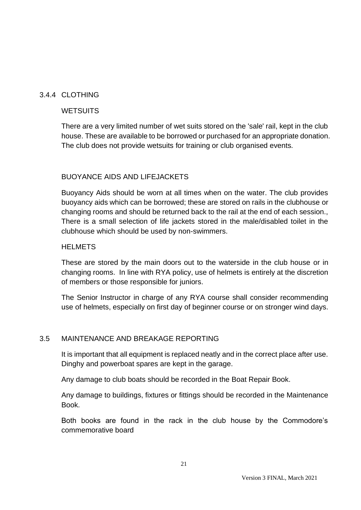### 3.4.4 CLOTHING

### **WETSUITS**

There are a very limited number of wet suits stored on the 'sale' rail, kept in the club house. These are available to be borrowed or purchased for an appropriate donation. The club does not provide wetsuits for training or club organised events.

### BUOYANCE AIDS AND LIFEJACKETS

Buoyancy Aids should be worn at all times when on the water. The club provides buoyancy aids which can be borrowed; these are stored on rails in the clubhouse or changing rooms and should be returned back to the rail at the end of each session., There is a small selection of life jackets stored in the male/disabled toilet in the clubhouse which should be used by non-swimmers.

#### **HELMETS**

These are stored by the main doors out to the waterside in the club house or in changing rooms. In line with RYA policy, use of helmets is entirely at the discretion of members or those responsible for juniors.

The Senior Instructor in charge of any RYA course shall consider recommending use of helmets, especially on first day of beginner course or on stronger wind days.

#### 3.5 MAINTENANCE AND BREAKAGE REPORTING

It is important that all equipment is replaced neatly and in the correct place after use. Dinghy and powerboat spares are kept in the garage.

Any damage to club boats should be recorded in the Boat Repair Book.

Any damage to buildings, fixtures or fittings should be recorded in the Maintenance Book.

Both books are found in the rack in the club house by the Commodore's commemorative board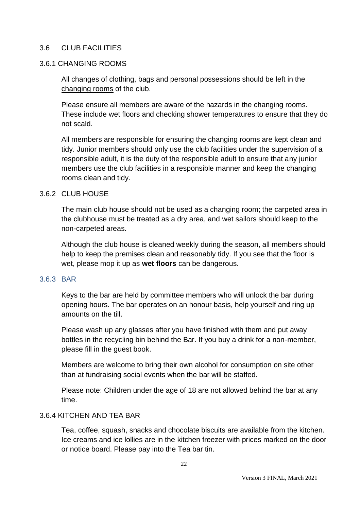### 3.6 CLUB FACILITIES

#### 3.6.1 CHANGING ROOMS

All changes of clothing, bags and personal possessions should be left in the changing rooms of the club.

Please ensure all members are aware of the hazards in the changing rooms. These include wet floors and checking shower temperatures to ensure that they do not scald.

All members are responsible for ensuring the changing rooms are kept clean and tidy. Junior members should only use the club facilities under the supervision of a responsible adult, it is the duty of the responsible adult to ensure that any junior members use the club facilities in a responsible manner and keep the changing rooms clean and tidy.

#### 3.6.2 CLUB HOUSE

The main club house should not be used as a changing room; the carpeted area in the clubhouse must be treated as a dry area, and wet sailors should keep to the non-carpeted areas.

Although the club house is cleaned weekly during the season, all members should help to keep the premises clean and reasonably tidy. If you see that the floor is wet, please mop it up as **wet floors** can be dangerous.

#### 3.6.3 BAR

Keys to the bar are held by committee members who will unlock the bar during opening hours. The bar operates on an honour basis, help yourself and ring up amounts on the till.

Please wash up any glasses after you have finished with them and put away bottles in the recycling bin behind the Bar. If you buy a drink for a non-member, please fill in the guest book.

Members are welcome to bring their own alcohol for consumption on site other than at fundraising social events when the bar will be staffed.

Please note: Children under the age of 18 are not allowed behind the bar at any time.

### 3.6.4 KITCHEN AND TEA BAR

Tea, coffee, squash, snacks and chocolate biscuits are available from the kitchen. Ice creams and ice lollies are in the kitchen freezer with prices marked on the door or notice board. Please pay into the Tea bar tin.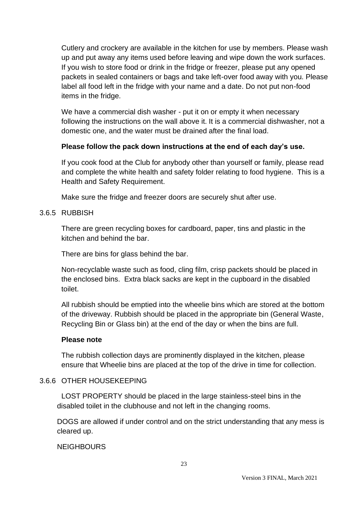Cutlery and crockery are available in the kitchen for use by members. Please wash up and put away any items used before leaving and wipe down the work surfaces. If you wish to store food or drink in the fridge or freezer, please put any opened packets in sealed containers or bags and take left-over food away with you. Please label all food left in the fridge with your name and a date. Do not put non-food items in the fridge.

We have a commercial dish washer - put it on or empty it when necessary following the instructions on the wall above it. It is a commercial dishwasher, not a domestic one, and the water must be drained after the final load.

### **Please follow the pack down instructions at the end of each day's use.**

If you cook food at the Club for anybody other than yourself or family, please read and complete the white health and safety folder relating to food hygiene. This is a Health and Safety Requirement.

Make sure the fridge and freezer doors are securely shut after use.

### 3.6.5 RUBBISH

There are green recycling boxes for cardboard, paper, tins and plastic in the kitchen and behind the bar.

There are bins for glass behind the bar.

Non-recyclable waste such as food, cling film, crisp packets should be placed in the enclosed bins. Extra black sacks are kept in the cupboard in the disabled toilet.

All rubbish should be emptied into the wheelie bins which are stored at the bottom of the driveway. Rubbish should be placed in the appropriate bin (General Waste, Recycling Bin or Glass bin) at the end of the day or when the bins are full.

#### **Please note**

The rubbish collection days are prominently displayed in the kitchen, please ensure that Wheelie bins are placed at the top of the drive in time for collection.

#### 3.6.6 OTHER HOUSEKEEPING

LOST PROPERTY should be placed in the large stainless-steel bins in the disabled toilet in the clubhouse and not left in the changing rooms.

DOGS are allowed if under control and on the strict understanding that any mess is cleared up.

**NEIGHBOURS**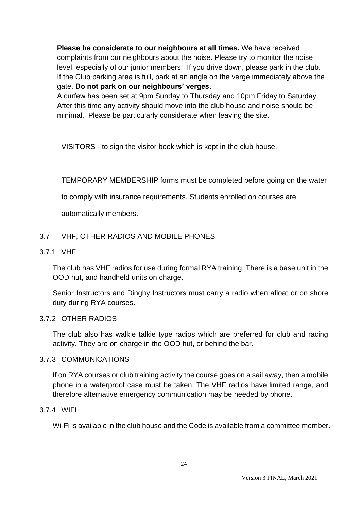**Please be considerate to our neighbours at all times.** We have received complaints from our neighbours about the noise. Please try to monitor the noise level, especially of our junior members. If you drive down, please park in the club. If the Club parking area is full, park at an angle on the verge immediately above the gate. **Do not park on our neighbours' verges.**

A curfew has been set at 9pm Sunday to Thursday and 10pm Friday to Saturday. After this time any activity should move into the club house and noise should be minimal. Please be particularly considerate when leaving the site.

VISITORS - to sign the visitor book which is kept in the club house.

TEMPORARY MEMBERSHIP forms must be completed before going on the water

to comply with insurance requirements. Students enrolled on courses are

automatically members.

### 3.7 VHF, OTHER RADIOS AND MOBILE PHONES

#### 3.7.1 VHF

The club has VHF radios for use during formal RYA training. There is a base unit in the OOD hut, and handheld units on charge.

Senior Instructors and Dinghy Instructors must carry a radio when afloat or on shore duty during RYA courses.

#### 3.7.2 OTHER RADIOS

The club also has walkie talkie type radios which are preferred for club and racing activity. They are on charge in the OOD hut, or behind the bar.

#### 3.7.3 COMMUNICATIONS

If on RYA courses or club training activity the course goes on a sail away, then a mobile phone in a waterproof case must be taken. The VHF radios have limited range, and therefore alternative emergency communication may be needed by phone.

### 3.7.4 WIFI

Wi-Fi is available in the club house and the Code is available from a committee member.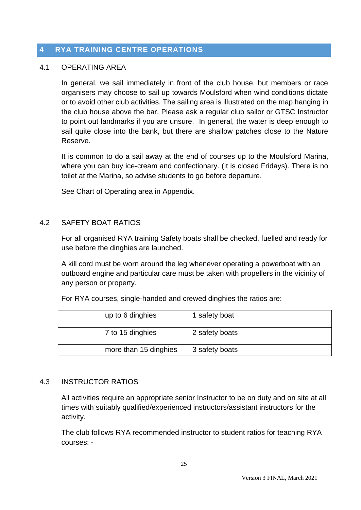# **4 RYA TRAINING CENTRE OPERATIONS**

#### 4.1 OPERATING AREA

In general, we sail immediately in front of the club house, but members or race organisers may choose to sail up towards Moulsford when wind conditions dictate or to avoid other club activities. The sailing area is illustrated on the map hanging in the club house above the bar. Please ask a regular club sailor or GTSC Instructor to point out landmarks if you are unsure. In general, the water is deep enough to sail quite close into the bank, but there are shallow patches close to the Nature Reserve.

It is common to do a sail away at the end of courses up to the Moulsford Marina, where you can buy ice-cream and confectionary. (It is closed Fridays). There is no toilet at the Marina, so advise students to go before departure.

See Chart of Operating area in Appendix.

### 4.2 SAFETY BOAT RATIOS

For all organised RYA training Safety boats shall be checked, fuelled and ready for use before the dinghies are launched.

A kill cord must be worn around the leg whenever operating a powerboat with an outboard engine and particular care must be taken with propellers in the vicinity of any person or property.

For RYA courses, single-handed and crewed dinghies the ratios are:

| up to 6 dinghies      | 1 safety boat  |
|-----------------------|----------------|
| 7 to 15 dinghies      | 2 safety boats |
| more than 15 dinghies | 3 safety boats |

#### 4.3 INSTRUCTOR RATIOS

All activities require an appropriate senior Instructor to be on duty and on site at all times with suitably qualified/experienced instructors/assistant instructors for the activity.

The club follows RYA recommended instructor to student ratios for teaching RYA courses: -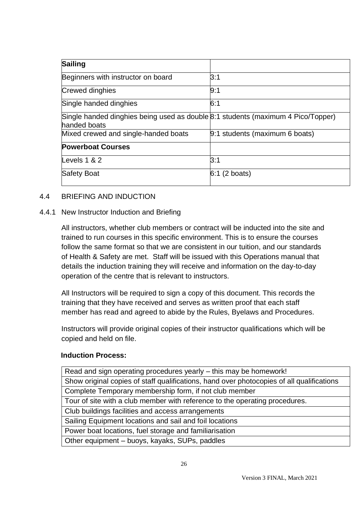| <b>Sailing</b>                                                                                   |                                |
|--------------------------------------------------------------------------------------------------|--------------------------------|
| Beginners with instructor on board                                                               | 3:1                            |
| Crewed dinghies                                                                                  | 9:1                            |
| Single handed dinghies                                                                           | 6:1                            |
| Single handed dinghies being used as double 8:1 students (maximum 4 Pico/Topper)<br>handed boats |                                |
| Mixed crewed and single-handed boats                                                             | 9:1 students (maximum 6 boats) |
| <b>Powerboat Courses</b>                                                                         |                                |
| Levels $1 & 2$                                                                                   | 3:1                            |
| Safety Boat                                                                                      | $6:1$ (2 boats)                |

### 4.4 BRIEFING AND INDUCTION

#### 4.4.1 New Instructor Induction and Briefing

All instructors, whether club members or contract will be inducted into the site and trained to run courses in this specific environment. This is to ensure the courses follow the same format so that we are consistent in our tuition, and our standards of Health & Safety are met. Staff will be issued with this Operations manual that details the induction training they will receive and information on the day-to-day operation of the centre that is relevant to instructors.

All Instructors will be required to sign a copy of this document. This records the training that they have received and serves as written proof that each staff member has read and agreed to abide by the Rules, Byelaws and Procedures.

Instructors will provide original copies of their instructor qualifications which will be copied and held on file.

#### **Induction Process:**

| Read and sign operating procedures yearly – this may be homework!                         |
|-------------------------------------------------------------------------------------------|
| Show original copies of staff qualifications, hand over photocopies of all qualifications |
| Complete Temporary membership form, if not club member                                    |
| Tour of site with a club member with reference to the operating procedures.               |
| Club buildings facilities and access arrangements                                         |
| Sailing Equipment locations and sail and foil locations                                   |
| Power boat locations, fuel storage and familiarisation                                    |
| Other equipment - buoys, kayaks, SUPs, paddles                                            |
|                                                                                           |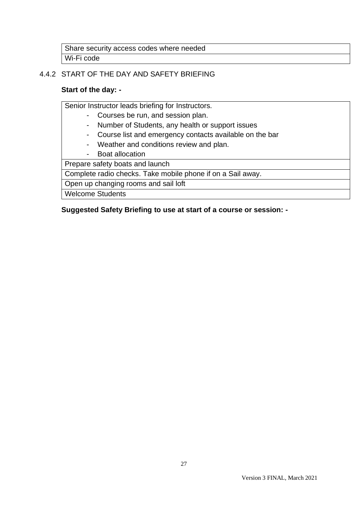Share security access codes where needed Wi-Fi code

# 4.4.2 START OF THE DAY AND SAFETY BRIEFING

### **Start of the day: -**

Senior Instructor leads briefing for Instructors.

- Courses be run, and session plan.
- Number of Students, any health or support issues
- Course list and emergency contacts available on the bar
- Weather and conditions review and plan.
- Boat allocation

Prepare safety boats and launch

Complete radio checks. Take mobile phone if on a Sail away.

Open up changing rooms and sail loft

Welcome Students

### **Suggested Safety Briefing to use at start of a course or session: -**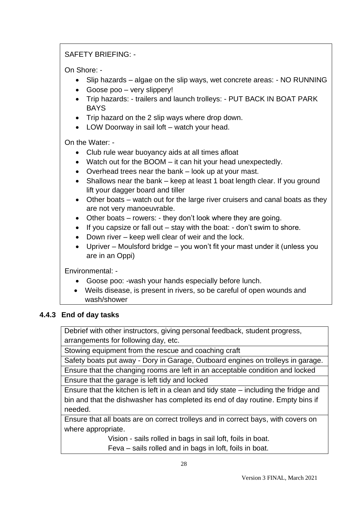# SAFETY BRIEFING: -

On Shore: -

- Slip hazards algae on the slip ways, wet concrete areas: NO RUNNING
- Goose poo very slippery!
- Trip hazards: trailers and launch trolleys: PUT BACK IN BOAT PARK BAYS
- Trip hazard on the 2 slip ways where drop down.
- LOW Doorway in sail loft watch your head.

On the Water: -

- Club rule wear buoyancy aids at all times afloat
- Watch out for the BOOM it can hit your head unexpectedly.
- Overhead trees near the bank look up at your mast.
- Shallows near the bank keep at least 1 boat length clear. If you ground lift your dagger board and tiller
- Other boats watch out for the large river cruisers and canal boats as they are not very manoeuvrable.
- Other boats rowers: they don't look where they are going.
- If you capsize or fall out stay with the boat: don't swim to shore.
- Down river keep well clear of weir and the lock.
- Upriver Moulsford bridge you won't fit your mast under it (unless you are in an Oppi)

Environmental: -

- Goose poo: -wash your hands especially before lunch.
- Weils disease, is present in rivers, so be careful of open wounds and wash/shower

### **4.4.3 End of day tasks**

Debrief with other instructors, giving personal feedback, student progress, arrangements for following day, etc.

Stowing equipment from the rescue and coaching craft

Safety boats put away - Dory in Garage, Outboard engines on trolleys in garage.

Ensure that the changing rooms are left in an acceptable condition and locked

Ensure that the garage is left tidy and locked

Ensure that the kitchen is left in a clean and tidy state – including the fridge and bin and that the dishwasher has completed its end of day routine. Empty bins if needed.

Ensure that all boats are on correct trolleys and in correct bays, with covers on where appropriate.

Vision - sails rolled in bags in sail loft, foils in boat.

Feva – sails rolled and in bags in loft, foils in boat.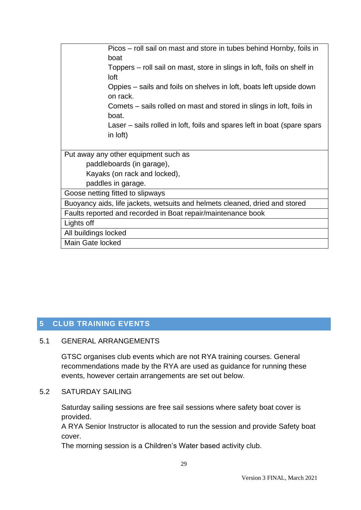| Picos – roll sail on mast and store in tubes behind Hornby, foils in<br>boat         |  |  |
|--------------------------------------------------------------------------------------|--|--|
| Toppers – roll sail on mast, store in slings in loft, foils on shelf in<br>loft      |  |  |
| Oppies – sails and foils on shelves in loft, boats left upside down<br>on rack.      |  |  |
| Comets – sails rolled on mast and stored in slings in loft, foils in<br>boat.        |  |  |
| Laser – sails rolled in loft, foils and spares left in boat (spare spars<br>in loft) |  |  |
| Put away any other equipment such as                                                 |  |  |
| paddleboards (in garage),                                                            |  |  |
| Kayaks (on rack and locked),                                                         |  |  |
| paddles in garage.                                                                   |  |  |
| Goose netting fitted to slipways                                                     |  |  |
| Buoyancy aids, life jackets, wetsuits and helmets cleaned, dried and stored          |  |  |
| Faults reported and recorded in Boat repair/maintenance book                         |  |  |
| Lights off                                                                           |  |  |
| All buildings locked                                                                 |  |  |
| Main Gate locked                                                                     |  |  |

# **5 CLUB TRAINING EVENTS**

#### 5.1 GENERAL ARRANGEMENTS

GTSC organises club events which are not RYA training courses. General recommendations made by the RYA are used as guidance for running these events, however certain arrangements are set out below.

### 5.2 SATURDAY SAILING

Saturday sailing sessions are free sail sessions where safety boat cover is provided.

A RYA Senior Instructor is allocated to run the session and provide Safety boat cover.

The morning session is a Children's Water based activity club.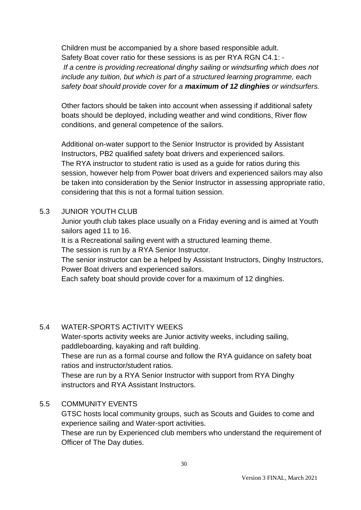Children must be accompanied by a shore based responsible adult. Safety Boat cover ratio for these sessions is as per RYA RGN C4.1: - *If a centre is providing recreational dinghy sailing or windsurfing which does not include any tuition, but which is part of a structured learning programme, each safety boat should provide cover for a maximum of 12 dinghies or windsurfers.*

Other factors should be taken into account when assessing if additional safety boats should be deployed, including weather and wind conditions, River flow conditions, and general competence of the sailors.

Additional on-water support to the Senior Instructor is provided by Assistant Instructors, PB2 qualified safety boat drivers and experienced sailors. The RYA instructor to student ratio is used as a guide for ratios during this session, however help from Power boat drivers and experienced sailors may also be taken into consideration by the Senior Instructor in assessing appropriate ratio, considering that this is not a formal tuition session.

### 5.3 JUNIOR YOUTH CLUB

Junior youth club takes place usually on a Friday evening and is aimed at Youth sailors aged 11 to 16.

It is a Recreational sailing event with a structured learning theme.

The session is run by a RYA Senior Instructor.

The senior instructor can be a helped by Assistant Instructors, Dinghy Instructors, Power Boat drivers and experienced sailors.

Each safety boat should provide cover for a maximum of 12 dinghies.

### 5.4 WATER-SPORTS ACTIVITY WEEKS

Water-sports activity weeks are Junior activity weeks, including sailing, paddleboarding, kayaking and raft building.

These are run as a formal course and follow the RYA guidance on safety boat ratios and instructor/student ratios.

These are run by a RYA Senior Instructor with support from RYA Dinghy instructors and RYA Assistant Instructors.

# 5.5 COMMUNITY EVENTS

GTSC hosts local community groups, such as Scouts and Guides to come and experience sailing and Water-sport activities.

These are run by Experienced club members who understand the requirement of Officer of The Day duties.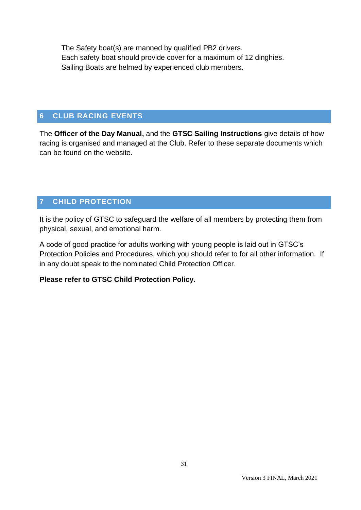The Safety boat(s) are manned by qualified PB2 drivers. Each safety boat should provide cover for a maximum of 12 dinghies. Sailing Boats are helmed by experienced club members.

# **6 CLUB RACING EVENTS**

The **Officer of the Day Manual,** and the **GTSC Sailing Instructions** give details of how racing is organised and managed at the Club. Refer to these separate documents which can be found on the website.

# **7 CHILD PROTECTION**

It is the policy of GTSC to safeguard the welfare of all members by protecting them from physical, sexual, and emotional harm.

A code of good practice for adults working with young people is laid out in GTSC's Protection Policies and Procedures, which you should refer to for all other information. If in any doubt speak to the nominated Child Protection Officer.

#### **Please refer to GTSC Child Protection Policy.**